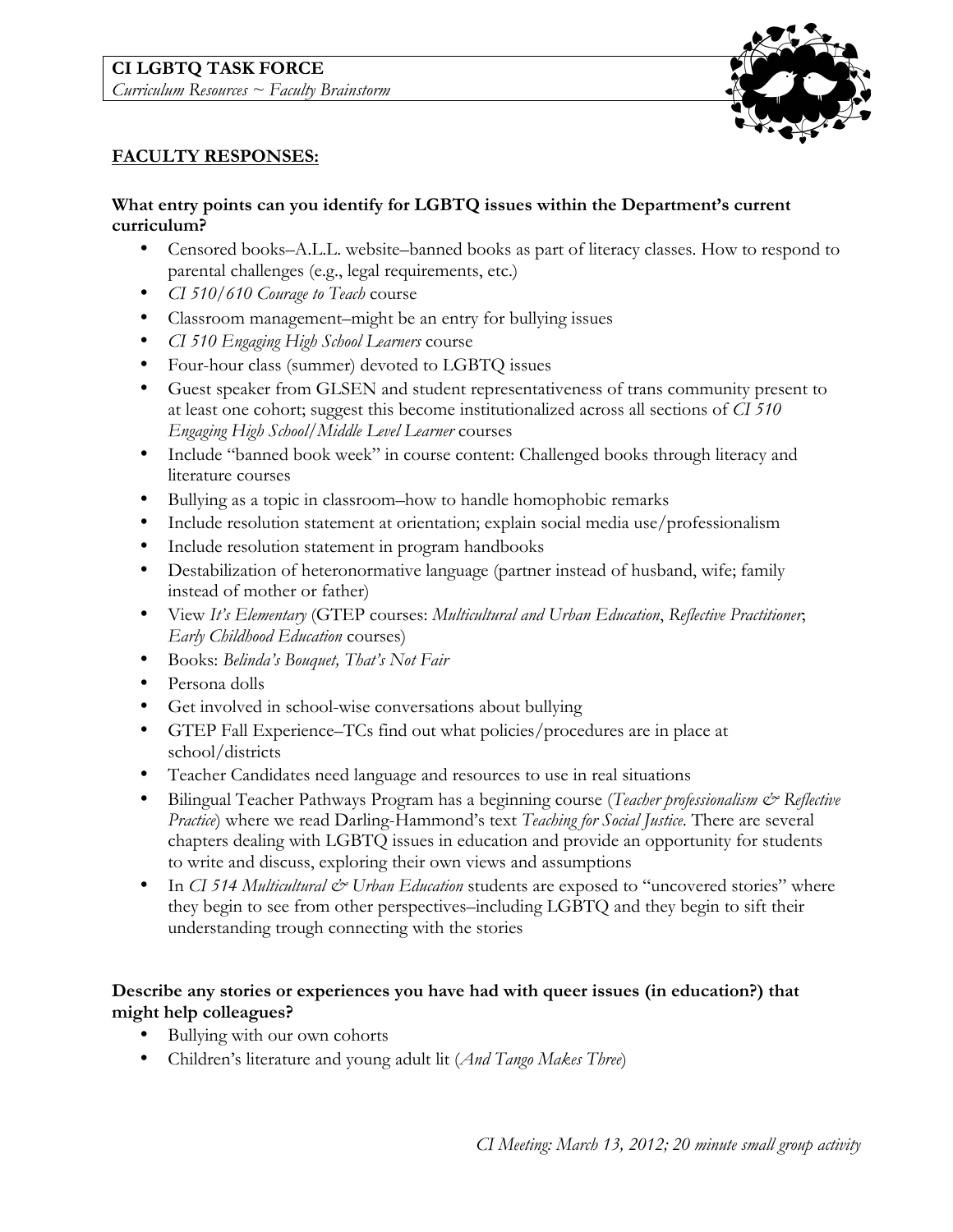### **CI LGBTQ TASK FORCE** *Curriculum Resources ~ Faculty Brainstorm*



# **FACULTY RESPONSES:**

## **What entry points can you identify for LGBTQ issues within the Department's current curriculum?**

- Censored books–A.L.L. website–banned books as part of literacy classes. How to respond to parental challenges (e.g., legal requirements, etc.)
- *CI 510/610 Courage to Teach* course
- Classroom management–might be an entry for bullying issues
- *CI 510 Engaging High School Learners* course
- Four-hour class (summer) devoted to LGBTQ issues
- Guest speaker from GLSEN and student representativeness of trans community present to at least one cohort; suggest this become institutionalized across all sections of *CI 510 Engaging High School/Middle Level Learner* courses
- Include "banned book week" in course content: Challenged books through literacy and literature courses
- Bullying as a topic in classroom–how to handle homophobic remarks
- Include resolution statement at orientation; explain social media use/professionalism
- Include resolution statement in program handbooks
- Destabilization of heteronormative language (partner instead of husband, wife; family instead of mother or father)
- View *It's Elementary* (GTEP courses: *Multicultural and Urban Education*, *Reflective Practitioner*; *Early Childhood Education* courses)
- Books: *Belinda's Bouquet, That's Not Fair*
- Persona dolls
- Get involved in school-wise conversations about bullying
- GTEP Fall Experience–TCs find out what policies/procedures are in place at school/districts
- Teacher Candidates need language and resources to use in real situations
- Bilingual Teacher Pathways Program has a beginning course (*Teacher professionalism & Reflective Practice*) where we read Darling-Hammond's text *Teaching for Social Justice*. There are several chapters dealing with LGBTQ issues in education and provide an opportunity for students to write and discuss, exploring their own views and assumptions
- In *CI 514 Multicultural*  $\breve{c}$  *Urban Education* students are exposed to "uncovered stories" where they begin to see from other perspectives–including LGBTQ and they begin to sift their understanding trough connecting with the stories

## **Describe any stories or experiences you have had with queer issues (in education?) that might help colleagues?**

- Bullying with our own cohorts
- Children's literature and young adult lit (*And Tango Makes Three*)